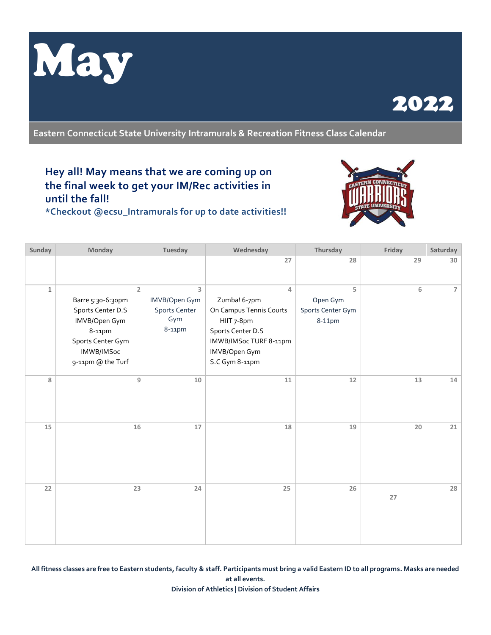



**Eastern Connecticut State University Intramurals & Recreation Fitness Class Calendar**

## **Hey all! May means that we are coming up on the final week to get your IM/Rec activities in until the fall!**

**\*Checkout @ecsu\_Intramurals for up to date activities!!**



| Sunday       | Monday                                                                                                                                      | Tuesday                                                     | Wednesday                                                                                                                                    | Thursday                                     | Friday | Saturday       |
|--------------|---------------------------------------------------------------------------------------------------------------------------------------------|-------------------------------------------------------------|----------------------------------------------------------------------------------------------------------------------------------------------|----------------------------------------------|--------|----------------|
|              |                                                                                                                                             |                                                             | 27                                                                                                                                           | 28                                           | 29     | 30             |
| $\mathbf{1}$ | $\overline{2}$<br>Barre 5:30-6:30pm<br>Sports Center D.S<br>IMVB/Open Gym<br>8-11pm<br>Sports Center Gym<br>IMWB/IMSoc<br>9-11pm @ the Turf | 3<br>IMVB/Open Gym<br><b>Sports Center</b><br>Gym<br>8-11pm | 4<br>Zumba! 6-7pm<br>On Campus Tennis Courts<br>HIIT 7-8pm<br>Sports Center D.S<br>IMWB/IMSoc TURF 8-11pm<br>IMVB/Open Gym<br>S.C Gym 8-11pm | 5<br>Open Gym<br>Sports Center Gym<br>8-11pm | 6      | $\overline{7}$ |
| 8            | $\overline{9}$                                                                                                                              | 10                                                          | 11                                                                                                                                           | 12                                           | 13     | 14             |
| 15           | 16                                                                                                                                          | 17                                                          | 18                                                                                                                                           | 19                                           | 20     | 21             |
| 22           | 23                                                                                                                                          | 24                                                          | 25                                                                                                                                           | 26                                           | 27     | 28             |

**All fitness classes are free to Eastern students, faculty & staff. Participants must bring a valid Eastern ID to all programs. Masks are needed at all events. Division of Athletics | Division of Student Affairs**